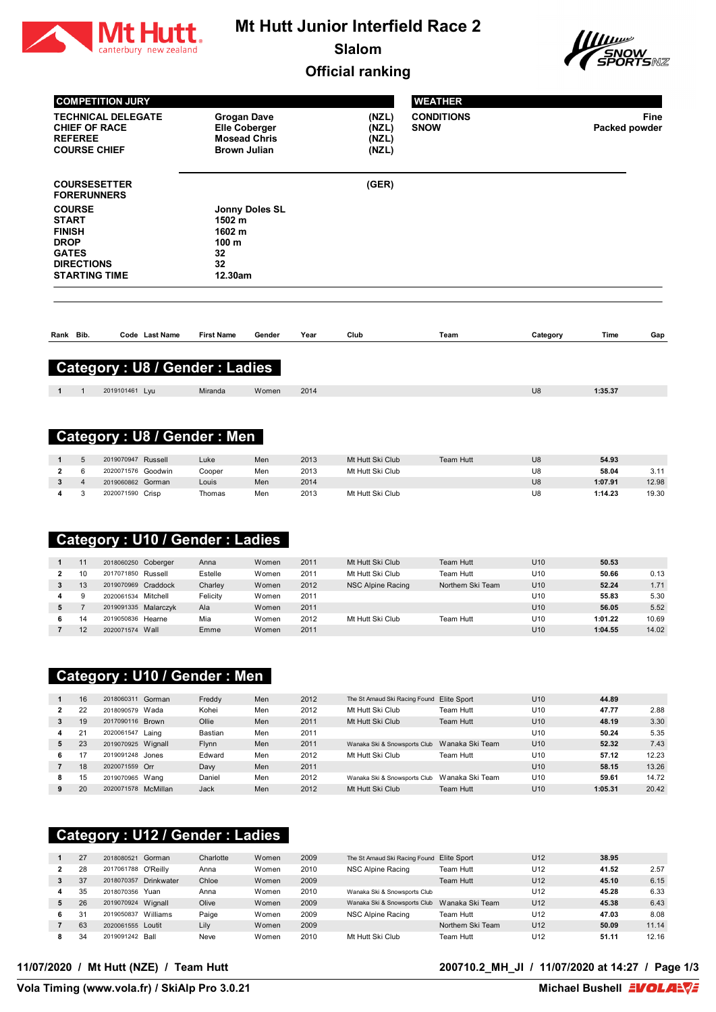

# **Mt Hutt Junior Interfield Race 2**

**Slalom**





|                                                                                                                            |                | <b>COMPETITION JURY</b>                                                  |                                                             |                                           |                                             |              |                                              | <b>WEATHER</b>                   |                   |                 |                    |               |
|----------------------------------------------------------------------------------------------------------------------------|----------------|--------------------------------------------------------------------------|-------------------------------------------------------------|-------------------------------------------|---------------------------------------------|--------------|----------------------------------------------|----------------------------------|-------------------|-----------------|--------------------|---------------|
|                                                                                                                            | <b>REFEREE</b> | <b>TECHNICAL DELEGATE</b><br><b>CHIEF OF RACE</b><br><b>COURSE CHIEF</b> |                                                             | <b>Grogan Dave</b><br><b>Brown Julian</b> | <b>Elle Coberger</b><br><b>Mosead Chris</b> |              | (NZL)<br>(NZL)<br>(NZL)<br>(NZL)             | <b>CONDITIONS</b><br><b>SNOW</b> |                   |                 | Packed powder      | Fine          |
|                                                                                                                            |                | <b>COURSESETTER</b><br><b>FORERUNNERS</b>                                |                                                             |                                           |                                             |              | (GER)                                        |                                  |                   |                 |                    |               |
| <b>COURSE</b><br><b>START</b><br><b>FINISH</b><br><b>DROP</b><br><b>GATES</b><br><b>DIRECTIONS</b><br><b>STARTING TIME</b> |                |                                                                          | 1502 m<br>1602 m<br>100 <sub>m</sub><br>32<br>32<br>12.30am | Jonny Doles SL                            |                                             |              |                                              |                                  |                   |                 |                    |               |
| Rank Bib.                                                                                                                  |                |                                                                          | Code Last Name                                              | <b>First Name</b>                         | Gender                                      | Year         | Club                                         | Team                             |                   | Category        | Time               | Gap           |
|                                                                                                                            |                |                                                                          |                                                             | Category: U8 / Gender: Ladies             |                                             |              |                                              |                                  |                   |                 |                    |               |
|                                                                                                                            |                |                                                                          |                                                             |                                           |                                             |              |                                              |                                  |                   |                 |                    |               |
| 1                                                                                                                          | 1              | 2019101461 Lyu                                                           |                                                             | Miranda                                   | Women                                       | 2014         |                                              |                                  |                   | U8              | 1:35.37            |               |
|                                                                                                                            |                |                                                                          |                                                             |                                           |                                             |              |                                              |                                  |                   |                 |                    |               |
|                                                                                                                            |                |                                                                          |                                                             | <b>Category: U8 / Gender: Men</b>         |                                             |              |                                              |                                  |                   |                 |                    |               |
| 1                                                                                                                          | 5              | 2019070947 Russell                                                       |                                                             | Luke                                      | Men                                         | 2013         | Mt Hutt Ski Club                             |                                  | Team Hutt         | U8              | 54.93              |               |
| 2                                                                                                                          | 6              | 2020071576 Goodwin                                                       |                                                             | Cooper                                    | Men                                         | 2013         | Mt Hutt Ski Club                             |                                  |                   | U8              | 58.04              | 3.11          |
| 3                                                                                                                          | 4              | 2019060862 Gorman                                                        |                                                             | Louis                                     | Men                                         | 2014         |                                              |                                  |                   | U8              | 1:07.91            | 12.98         |
| 4                                                                                                                          | 3              | 2020071590 Crisp                                                         |                                                             | Thomas                                    | Men                                         | 2013         | Mt Hutt Ski Club                             |                                  |                   | U8              | 1:14.23            | 19.30         |
|                                                                                                                            |                |                                                                          |                                                             | Category: U10 / Gender: Ladies            |                                             |              |                                              |                                  |                   |                 |                    |               |
| 1                                                                                                                          | 11             | 2018060250 Coberger                                                      |                                                             | Anna                                      | Women                                       | 2011         | Mt Hutt Ski Club                             |                                  | <b>Team Hutt</b>  | U10             | 50.53              |               |
| $\overline{2}$                                                                                                             | 10             | 2017071850 Russell                                                       |                                                             | Estelle                                   | Women                                       | 2011         | Mt Hutt Ski Club                             |                                  | Team Hutt         | U10             | 50.66              | 0.13          |
| 3                                                                                                                          | 13             | 2019070969 Craddock                                                      |                                                             | Charley                                   | Women                                       | 2012         | <b>NSC Alpine Racing</b>                     |                                  | Northern Ski Team | U <sub>10</sub> | 52.24              | 1.71          |
| 4                                                                                                                          | 9              | 2020061534 Mitchell                                                      |                                                             | Felicity                                  | Women                                       | 2011         |                                              |                                  |                   | U10             | 55.83              | 5.30          |
| 5<br>6                                                                                                                     | $\overline{7}$ |                                                                          | 2019091335 Malarczyk                                        | Ala                                       | Women<br>Women                              | 2011<br>2012 |                                              |                                  | <b>Team Hutt</b>  | U10             | 56.05              | 5.52<br>10.69 |
| 7                                                                                                                          | 14<br>12       | 2019050836 Hearne<br>2020071574 Wall                                     |                                                             | Mia<br>Emme                               | Women                                       | 2011         | Mt Hutt Ski Club                             |                                  |                   | U10<br>U10      | 1:01.22<br>1:04.55 | 14.02         |
|                                                                                                                            |                |                                                                          |                                                             |                                           |                                             |              |                                              |                                  |                   |                 |                    |               |
|                                                                                                                            |                |                                                                          |                                                             | <b>Category: U10 / Gender: Men</b>        |                                             |              |                                              |                                  |                   |                 |                    |               |
| $\mathbf{1}$                                                                                                               | 16             | 2018060311 Gorman                                                        |                                                             | Freddy                                    | Men                                         | 2012         | The St Arnaud Ski Racing Found Elite Sport   |                                  |                   | U10             | 44.89              |               |
| $\overline{\mathbf{2}}$                                                                                                    | 22             | 2018090579 Wada                                                          |                                                             | Kohei                                     | Men                                         | 2012         | Mt Hutt Ski Club                             |                                  | Team Hutt         | U10             | 47.77              | 2.88          |
| 3                                                                                                                          | 19             | 2017090116 Brown                                                         |                                                             | Ollie                                     | Men                                         | 2011         | Mt Hutt Ski Club                             |                                  | Team Hutt         | U10             | 48.19              | 3.30          |
| 4<br>5                                                                                                                     | 21<br>23       | 2020061547 Laing<br>2019070925 Wignall                                   |                                                             | Bastian<br>Flynn                          | Men<br>Men                                  | 2011<br>2011 | Wanaka Ski & Snowsports Club Wanaka Ski Team |                                  |                   | U10<br>U10      | 50.24<br>52.32     | 5.35<br>7.43  |
| 6                                                                                                                          | 17             | 2019091248 Jones                                                         |                                                             | Edward                                    | Men                                         | 2012         | Mt Hutt Ski Club                             |                                  | Team Hutt         | U10             | 57.12              | 12.23         |
| 7                                                                                                                          | 18             | 2020071559 Orr                                                           |                                                             | Davy                                      | Men                                         | 2011         |                                              |                                  |                   | U10             | 58.15              | 13.26         |
| 8                                                                                                                          | 15             | 2019070965 Wang                                                          |                                                             | Daniel                                    | Men                                         | 2012         | Wanaka Ski & Snowsports Club                 |                                  | Wanaka Ski Team   | U10             | 59.61              | 14.72         |
| 9                                                                                                                          | 20             | 2020071578 McMillan                                                      |                                                             | Jack                                      | Men                                         | 2012         | Mt Hutt Ski Club                             |                                  | Team Hutt         | U10             | 1:05.31            | 20.42         |

### **Category : U12 / Gender : Ladies**

|              | 27             | 2018080521          | Gorman     | Charlotte | Women | 2009 | The St Arnaud Ski Racing Found Elite Sport |                   | U <sub>12</sub> | 38.95 |       |
|--------------|----------------|---------------------|------------|-----------|-------|------|--------------------------------------------|-------------------|-----------------|-------|-------|
| $\mathbf{2}$ | 28             | 2017061788 O'Reilly |            | Anna      | Women | 2010 | NSC Alpine Racing                          | Team Hutt         | U <sub>12</sub> | 41.52 | 2.57  |
|              | 37             | 2018070357          | Drinkwater | Chloe     | Women | 2009 |                                            | Team Hutt         | U <sub>12</sub> | 45.10 | 6.15  |
| 4            | 35             | 2018070356          | Yuan       | Anna      | Women | 2010 | Wanaka Ski & Snowsports Club               |                   | U <sub>12</sub> | 45.28 | 6.33  |
| 5.           | 26             | 2019070924          | Wignall    | Olive     | Women | 2009 | Wanaka Ski & Snowsports Club               | Wanaka Ski Team   | U <sub>12</sub> | 45.38 | 6.43  |
| 6.           | 3 <sup>1</sup> | 2019050837          | Williams   | Paige     | Women | 2009 | NSC Alpine Racing                          | Team Hutt         | U <sub>12</sub> | 47.03 | 8.08  |
|              | 63             | 2020061555 Loutit   |            | Lily      | Women | 2009 |                                            | Northern Ski Team | U <sub>12</sub> | 50.09 | 11.14 |
|              | 34             | 2019091242 Ball     |            | Neve      | Women | 2010 | Mt Hutt Ski Club                           | Team Hutt         | U <sub>12</sub> | 51.11 | 12.16 |

#### **11/07/2020 / Mt Hutt (NZE) / Team Hutt 200710.2\_MH\_JI / 11/07/2020 at 14:27 / Page 1/3**

Vola Timing (www.vola.fr) / SkiAlp Pro 3.0.21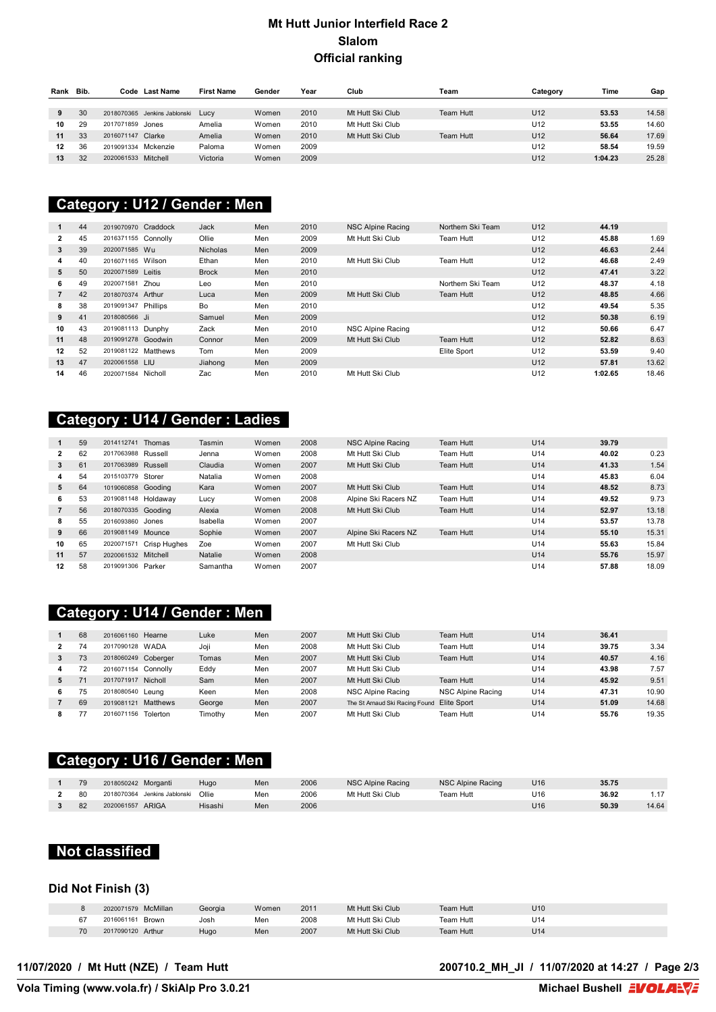### **Mt Hutt Junior Interfield Race 2 Slalom Official ranking**

| Rank | Bib. |                     | Code Last Name               | <b>First Name</b> | Gender | Year | Club             | Team      | Category        | Time    | Gap   |
|------|------|---------------------|------------------------------|-------------------|--------|------|------------------|-----------|-----------------|---------|-------|
|      |      |                     |                              |                   |        |      |                  |           |                 |         |       |
| 9    | 30   |                     | 2018070365 Jenkins Jablonski | Lucy              | Women  | 2010 | Mt Hutt Ski Club | Team Hutt | U <sub>12</sub> | 53.53   | 14.58 |
| 10   | 29   | 2017071859 Jones    |                              | Amelia            | Women  | 2010 | Mt Hutt Ski Club |           | U12             | 53.55   | 14.60 |
| 11   | 33   | 2016071147          | Clarke                       | Amelia            | Women  | 2010 | Mt Hutt Ski Club | Team Hutt | U <sub>12</sub> | 56.64   | 17.69 |
| 12   | 36   | 2019091334 Mckenzie |                              | Paloma            | Women  | 2009 |                  |           | U12             | 58.54   | 19.59 |
| 13   | 32   | 2020061533 Mitchell |                              | Victoria          | Women  | 2009 |                  |           | U <sub>12</sub> | 1:04.23 | 25.28 |

#### **FORERUNNERS Category : U12 / Gender : Men**

|                | 44 | 2019070970 Craddock |         | Jack            | Men | 2010 | NSC Alpine Racing | Northern Ski Team | U <sub>12</sub> | 44.19   |       |
|----------------|----|---------------------|---------|-----------------|-----|------|-------------------|-------------------|-----------------|---------|-------|
| $\mathbf{2}$   | 45 | 2016371155 Connolly |         | Ollie           | Men | 2009 | Mt Hutt Ski Club  | Team Hutt         | U <sub>12</sub> | 45.88   | 1.69  |
| 3              | 39 | 2020071585 Wu       |         | <b>Nicholas</b> | Men | 2009 |                   |                   | U <sub>12</sub> | 46.63   | 2.44  |
| 4              | 40 | 2016071165 Wilson   |         | Ethan           | Men | 2010 | Mt Hutt Ski Club  | Team Hutt         | U <sub>12</sub> | 46.68   | 2.49  |
| 5              | 50 | 2020071589 Leitis   |         | <b>Brock</b>    | Men | 2010 |                   |                   | U <sub>12</sub> | 47.41   | 3.22  |
| 6              | 49 | 2020071581          | Zhou    | Leo             | Men | 2010 |                   | Northern Ski Team | U <sub>12</sub> | 48.37   | 4.18  |
| $\overline{7}$ | 42 | 2018070374 Arthur   |         | Luca            | Men | 2009 | Mt Hutt Ski Club  | Team Hutt         | U <sub>12</sub> | 48.85   | 4.66  |
| 8              | 38 | 2019091347 Phillips |         | Bo              | Men | 2010 |                   |                   | U <sub>12</sub> | 49.54   | 5.35  |
| 9              | 41 | 2018080566 Ji       |         | Samuel          | Men | 2009 |                   |                   | U <sub>12</sub> | 50.38   | 6.19  |
| 10             | 43 | 2019081113 Dunphy   |         | Zack            | Men | 2010 | NSC Alpine Racing |                   | U <sub>12</sub> | 50.66   | 6.47  |
| 11             | 48 | 2019091278 Goodwin  |         | Connor          | Men | 2009 | Mt Hutt Ski Club  | Team Hutt         | U <sub>12</sub> | 52.82   | 8.63  |
| 12             | 52 | 2019081122 Matthews |         | Tom             | Men | 2009 |                   | Elite Sport       | U <sub>12</sub> | 53.59   | 9.40  |
| 13             | 47 | 2020061558 LIU      |         | Jiahong         | Men | 2009 |                   |                   | U <sub>12</sub> | 57.81   | 13.62 |
| 14             | 46 | 2020071584          | Nicholl | Zac             | Men | 2010 | Mt Hutt Ski Club  |                   | U <sub>12</sub> | 1:02.65 | 18.46 |

# **Category : U14 / Gender : Ladies**

|              | 59 | 2014112741          | Thomas       | Tasmin   | Women | 2008 | NSC Alpine Racing    | Team Hutt | U <sub>14</sub> | 39.79 |       |
|--------------|----|---------------------|--------------|----------|-------|------|----------------------|-----------|-----------------|-------|-------|
| $\mathbf{2}$ | 62 | 2017063988 Russell  |              | Jenna    | Women | 2008 | Mt Hutt Ski Club     | Team Hutt | U14             | 40.02 | 0.23  |
| 3            | 61 | 2017063989 Russell  |              | Claudia  | Women | 2007 | Mt Hutt Ski Club     | Team Hutt | U <sub>14</sub> | 41.33 | 1.54  |
| 4            | 54 | 2015103779          | Storer       | Natalia  | Women | 2008 |                      |           | U14             | 45.83 | 6.04  |
| 5            | 64 | 1019060858 Gooding  |              | Kara     | Women | 2007 | Mt Hutt Ski Club     | Team Hutt | U <sub>14</sub> | 48.52 | 8.73  |
| 6            | 53 | 2019081148 Holdaway |              | Lucy     | Women | 2008 | Alpine Ski Racers NZ | Team Hutt | U14             | 49.52 | 9.73  |
|              | 56 | 2018070335 Gooding  |              | Alexia   | Women | 2008 | Mt Hutt Ski Club     | Team Hutt | U <sub>14</sub> | 52.97 | 13.18 |
| 8            | 55 | 2016093860          | Jones        | Isabella | Women | 2007 |                      |           | U14             | 53.57 | 13.78 |
| 9            | 66 | 2019081149 Mounce   |              | Sophie   | Women | 2007 | Alpine Ski Racers NZ | Team Hutt | U14             | 55.10 | 15.31 |
| 10           | 65 | 2020071571          | Crisp Hughes | Zoe      | Women | 2007 | Mt Hutt Ski Club     |           | U14             | 55.63 | 15.84 |
| 11           | 57 | 2020061532 Mitchell |              | Natalie  | Women | 2008 |                      |           | U <sub>14</sub> | 55.76 | 15.97 |
| 12           | 58 | 2019091306 Parker   |              | Samantha | Women | 2007 |                      |           | U14             | 57.88 | 18.09 |

### **Category : U14 / Gender : Men**

|   | 68 | 2016061160 Hearne      | Luke    | Men | 2007 | Mt Hutt Ski Club               | Team Hutt         | U <sub>14</sub> | 36.41 |       |
|---|----|------------------------|---------|-----|------|--------------------------------|-------------------|-----------------|-------|-------|
|   | 74 | 2017090128 WADA        | Joji    | Men | 2008 | Mt Hutt Ski Club               | Team Hutt         | U14             | 39.75 | 3.34  |
|   | 73 | 2018060249 Coberger    | Tomas   | Men | 2007 | Mt Hutt Ski Club               | Team Hutt         | U <sub>14</sub> | 40.57 | 4.16  |
| 4 | 72 | 2016071154 Connolly    | Eddy    | Men | 2007 | Mt Hutt Ski Club               |                   | U <sub>14</sub> | 43.98 | 7.57  |
|   |    | 2017071917 Nicholl     | Sam     | Men | 2007 | Mt Hutt Ski Club               | Team Hutt         | U <sub>14</sub> | 45.92 | 9.51  |
| 6 | 75 | 2018080540<br>Leuna    | Keen    | Men | 2008 | NSC Alpine Racing              | NSC Alpine Racing | U14             | 47.31 | 10.90 |
|   | 69 | Matthews<br>2019081121 | George  | Men | 2007 | The St Arnaud Ski Racing Found | Elite Sport       | U <sub>14</sub> | 51.09 | 14.68 |
|   |    | Tolerton<br>2016071156 | Timothy | Men | 2007 | Mt Hutt Ski Club               | Team Hutt         | U14             | 55.76 | 19.35 |

# **Category : U16 / Gender : Men**

| 79 | 2018050242 Morganti             | Hugo    | Men        | 2006 | NSC Alpine Racing | NSC Alpine Racing | J16             | 35.75      |       |
|----|---------------------------------|---------|------------|------|-------------------|-------------------|-----------------|------------|-------|
| 80 | Jenkins Jablonski<br>2018070364 | Ollie   | Men<br>___ | 2006 | Mt Hutt Ski Club  | Team Hutt         | U16             | 36.92<br>. |       |
| 82 | ARIGA<br>2020061557             | Hisashi | Men        | 2006 |                   |                   | U <sub>16</sub> | 50.39      | 14.64 |

#### **Not classified**

#### **Did Not Finish (3)**

|    | McMillan<br>2020071579 | Georgia | Women | 2011 | Mt Hutt Ski Club | Team Hutt | U <sub>10</sub> |
|----|------------------------|---------|-------|------|------------------|-----------|-----------------|
| 67 | Brown<br>2016061161    | Josh    | Men   | 2008 | Mt Hutt Ski Club | Team Hutt | U <sub>14</sub> |
| 70 | 2017090120 Arthur      | Hugo    | Men   | 2007 | Mt Hutt Ski Club | Team Hutt | U <sub>14</sub> |

**11/07/2020 / Mt Hutt (NZE) / Team Hutt 200710.2\_MH\_JI / 11/07/2020 at 14:27 / Page 2/3**